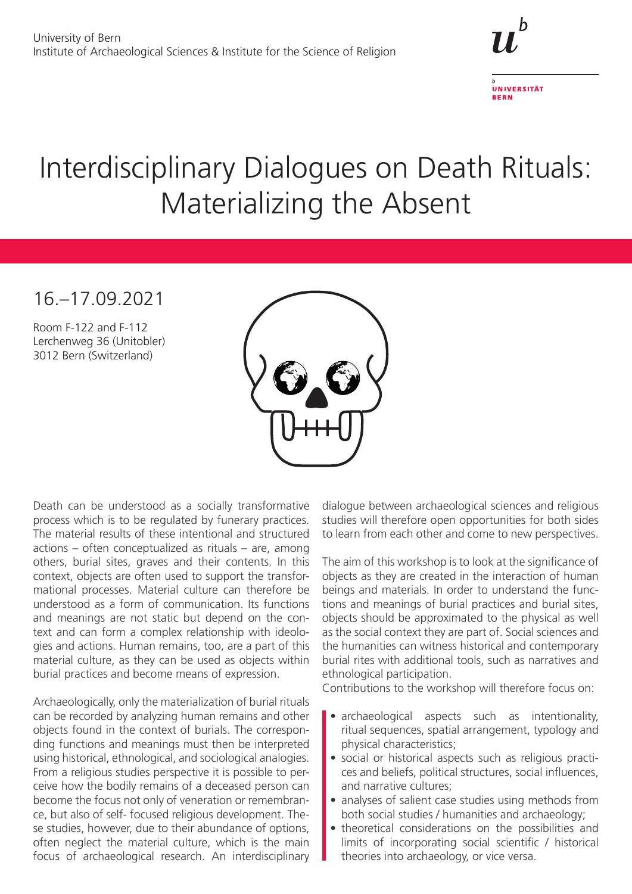

**RERN** 

## Interdisciplinary Dialogues on Death Rituals: Materializing the Absent

## 16.–17.09.2021

Room F-122 and F-112 Lerchenweg 36 (Unitobler) 3012 Bern (Switzerland)



Death can be understood as a socially transformative process which is to be regulated by funerary practices. The material results of these intentional and structured actions – often conceptualized as rituals – are, among others, burial sites, graves and their contents. In this context, objects are often used to support the transformational processes. Material culture can therefore be understood as a form of communication. Its functions and meanings are not static but depend on the context and can form a complex relationship with ideologies and actions. Human remains, too, are a part of this material culture, as they can be used as objects within burial practices and become means of expression.

Archaeologically, only the materialization of burial rituals can be recorded by analyzing human remains and other objects found in the context of burials. The corresponding functions and meanings must then be interpreted using historical, ethnological, and sociological analogies. From a religious studies perspective it is possible to perceive how the bodily remains of a deceased person can become the focus not only of veneration or remembrance, but also of self- focused religious development. These studies, however, due to their abundance of options, often neglect the material culture, which is the main focus of archaeological research. An interdisciplinary

dialogue between archaeological sciences and religious studies will therefore open opportunities for both sides to learn from each other and come to new perspectives.

The aim of this workshop is to look at the significance of objects as they are created in the interaction of human beings and materials. In order to understand the functions and meanings of burial practices and burial sites, objects should be approximated to the physical as well as the social context they are part of. Social sciences and the humanities can witness historical and contemporary burial rites with additional tools, such as narratives and ethnological participation.

Contributions to the workshop will therefore focus on:

- archaeological aspects such as intentionality, ritual sequences, spatial arrangement, typology and physical characteristics;
- social or historical aspects such as religious practices and beliefs, political structures, social influences, and narrative cultures;
- analyses of salient case studies using methods from both social studies / humanities and archaeology;
- theoretical considerations on the possibilities and limits of incorporating social scientific / historical theories into archaeology, or vice versa.